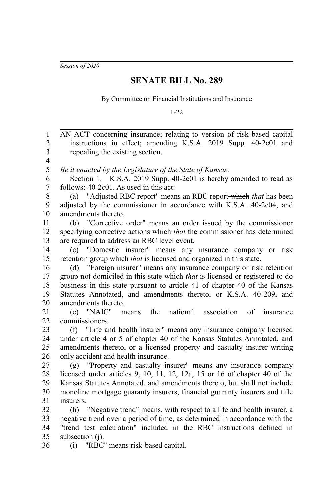*Session of 2020*

## **SENATE BILL No. 289**

By Committee on Financial Institutions and Insurance

1-22

AN ACT concerning insurance; relating to version of risk-based capital instructions in effect; amending K.S.A. 2019 Supp. 40-2c01 and repealing the existing section. *Be it enacted by the Legislature of the State of Kansas:* Section 1. K.S.A. 2019 Supp. 40-2c01 is hereby amended to read as follows: 40-2c01. As used in this act: (a) "Adjusted RBC report" means an RBC report which *that* has been adjusted by the commissioner in accordance with K.S.A. 40-2c04, and amendments thereto. (b) "Corrective order" means an order issued by the commissioner specifying corrective actions which *that* the commissioner has determined are required to address an RBC level event. (c) "Domestic insurer" means any insurance company or risk retention group which *that* is licensed and organized in this state. (d) "Foreign insurer" means any insurance company or risk retention group not domiciled in this state which *that* is licensed or registered to do business in this state pursuant to article 41 of chapter 40 of the Kansas Statutes Annotated, and amendments thereto, or K.S.A. 40-209, and amendments thereto. (e) "NAIC" means the national association of insurance commissioners. (f) "Life and health insurer" means any insurance company licensed under article 4 or 5 of chapter 40 of the Kansas Statutes Annotated, and amendments thereto, or a licensed property and casualty insurer writing only accident and health insurance. (g) "Property and casualty insurer" means any insurance company licensed under articles 9, 10, 11, 12, 12a, 15 or 16 of chapter 40 of the Kansas Statutes Annotated, and amendments thereto, but shall not include monoline mortgage guaranty insurers, financial guaranty insurers and title insurers. (h) "Negative trend" means, with respect to a life and health insurer, a negative trend over a period of time, as determined in accordance with the "trend test calculation" included in the RBC instructions defined in subsection (i). 1 2 3 4 5 6 7 8 9 10 11 12 13 14 15 16 17 18 19 20 21 22 23 24 25 26 27 28 29 30 31 32 33 34 35

(i) "RBC" means risk-based capital. 36